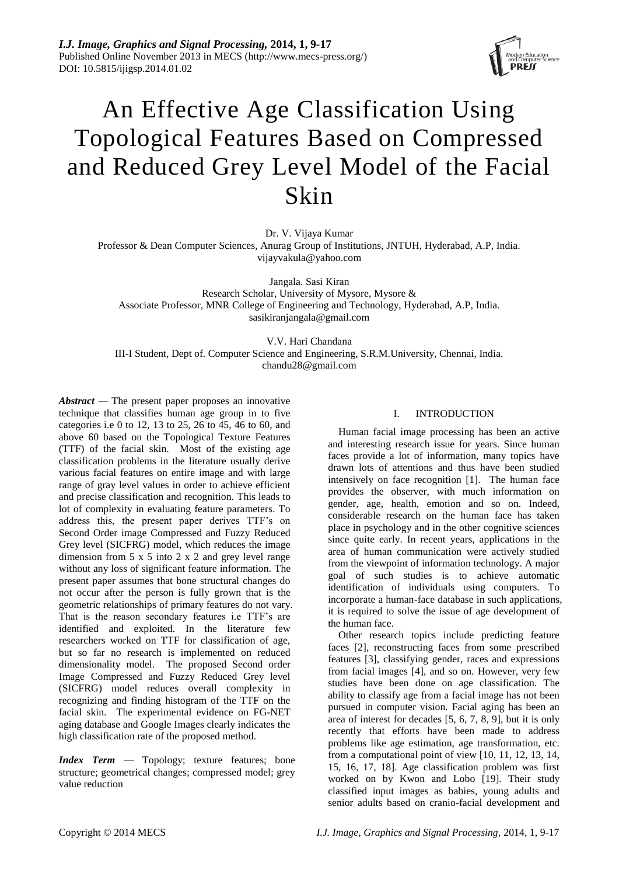

# An Effective Age Classification Using Topological Features Based on Compressed and Reduced Grey Level Model of the Facial Skin

Dr. V. Vijaya Kumar

Professor & Dean Computer Sciences, Anurag Group of Institutions, JNTUH, Hyderabad, A.P, India. [vijayvakula@yahoo.com](mailto:vijayvakula@yahoo.com)

Jangala. Sasi Kiran Research Scholar, University of Mysore, Mysore & Associate Professor, MNR College of Engineering and Technology, Hyderabad, A.P, India. [sasikiranjangala@gmail.com](mailto:sasikiranjangala@gmail.com)

V.V. Hari Chandana III-I Student, Dept of. Computer Science and Engineering, S.R.M.University, Chennai, India. chandu28@gmail.com

*Abstract —* The present paper proposes an innovative technique that classifies human age group in to five categories i.e 0 to 12, 13 to 25, 26 to 45, 46 to 60, and above 60 based on the Topological Texture Features (TTF) of the facial skin. Most of the existing age classification problems in the literature usually derive various facial features on entire image and with large range of gray level values in order to achieve efficient and precise classification and recognition. This leads to lot of complexity in evaluating feature parameters. To address this, the present paper derives TTF's on Second Order image Compressed and Fuzzy Reduced Grey level (SICFRG) model, which reduces the image dimension from 5 x 5 into 2 x 2 and grey level range without any loss of significant feature information. The present paper assumes that bone structural changes do not occur after the person is fully grown that is the geometric relationships of primary features do not vary. That is the reason secondary features i.e TTF's are identified and exploited. In the literature few researchers worked on TTF for classification of age, but so far no research is implemented on reduced dimensionality model. The proposed Second order Image Compressed and Fuzzy Reduced Grey level (SICFRG) model reduces overall complexity in recognizing and finding histogram of the TTF on the facial skin. The experimental evidence on FG-NET aging database and Google Images clearly indicates the high classification rate of the proposed method.

*Index Term* — Topology; texture features; bone structure; geometrical changes; compressed model; grey value reduction

# I. INTRODUCTION

Human facial image processing has been an active and interesting research issue for years. Since human faces provide a lot of information, many topics have drawn lots of attentions and thus have been studied intensively on face recognition [1]. The human face provides the observer, with much information on gender, age, health, emotion and so on. Indeed, considerable research on the human face has taken place in psychology and in the other cognitive sciences since quite early. In recent years, applications in the area of human communication were actively studied from the viewpoint of information technology. A major goal of such studies is to achieve automatic identification of individuals using computers. To incorporate a human-face database in such applications, it is required to solve the issue of age development of the human face.

Other research topics include predicting feature faces [2], reconstructing faces from some prescribed features [3], classifying gender, races and expressions from facial images [4], and so on. However, very few studies have been done on age classification. The ability to classify age from a facial image has not been pursued in computer vision. Facial aging has been an area of interest for decades [5, 6, 7, 8, 9], but it is only recently that efforts have been made to address problems like age estimation, age transformation, etc. from a computational point of view [10, 11, 12, 13, 14, 15, 16, 17, 18]. Age classification problem was first worked on by Kwon and Lobo [19]. Their study classified input images as babies, young adults and senior adults based on cranio-facial development and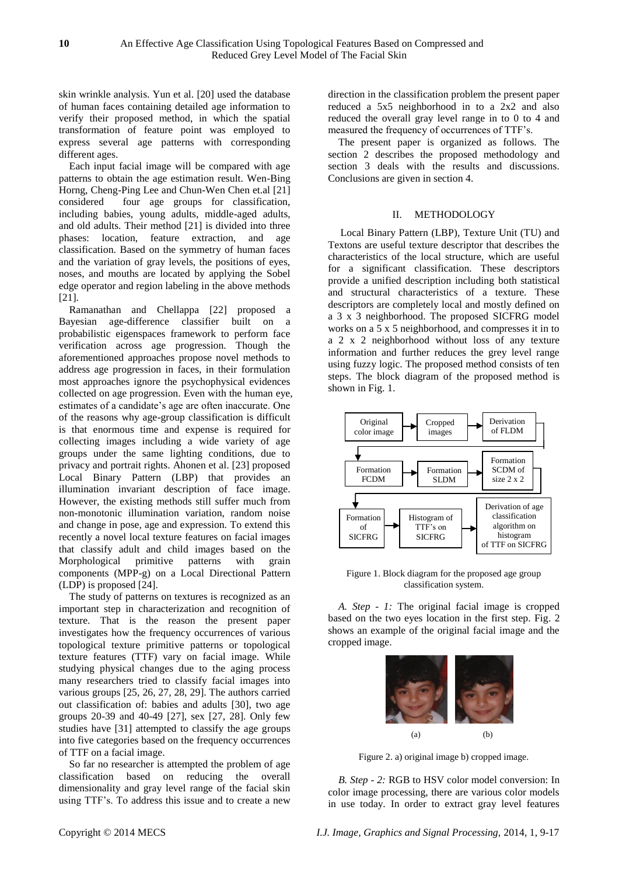skin wrinkle analysis. Yun et al. [20] used the database of human faces containing detailed age information to verify their proposed method, in which the spatial transformation of feature point was employed to express several age patterns with corresponding different ages.

Each input facial image will be compared with age patterns to obtain the age estimation result. Wen-Bing Horng, Cheng-Ping Lee and Chun-Wen Chen et.al [21] considered four age groups for classification, including babies, young adults, middle-aged adults, and old adults. Their method [21] is divided into three phases: location, feature extraction, and age classification. Based on the symmetry of human faces and the variation of gray levels, the positions of eyes, noses, and mouths are located by applying the Sobel edge operator and region labeling in the above methods [21].

Ramanathan and Chellappa [22] proposed a Bayesian age-difference classifier built on a probabilistic eigenspaces framework to perform face verification across age progression. Though the aforementioned approaches propose novel methods to address age progression in faces, in their formulation most approaches ignore the psychophysical evidences collected on age progression. Even with the human eye, estimates of a candidate's age are often inaccurate. One of the reasons why age-group classification is difficult is that enormous time and expense is required for collecting images including a wide variety of age groups under the same lighting conditions, due to privacy and portrait rights. Ahonen et al. [23] proposed Local Binary Pattern (LBP) that provides an illumination invariant description of face image. However, the existing methods still suffer much from non-monotonic illumination variation, random noise and change in pose, age and expression. To extend this recently a novel local texture features on facial images that classify adult and child images based on the Morphological primitive patterns with grain components (MPP-g) on a Local Directional Pattern (LDP) is proposed [24].

The study of patterns on textures is recognized as an important step in characterization and recognition of texture. That is the reason the present paper investigates how the frequency occurrences of various topological texture primitive patterns or topological texture features (TTF) vary on facial image. While studying physical changes due to the aging process many researchers tried to classify facial images into various groups [25, 26, 27, 28, 29]. The authors carried out classification of: babies and adults [30], two age groups 20-39 and 40-49 [27], sex [27, 28]. Only few studies have [31] attempted to classify the age groups into five categories based on the frequency occurrences of TTF on a facial image.

So far no researcher is attempted the problem of age classification based on reducing the overall dimensionality and gray level range of the facial skin using TTF's. To address this issue and to create a new

direction in the classification problem the present paper reduced a 5x5 neighborhood in to a 2x2 and also reduced the overall gray level range in to 0 to 4 and measured the frequency of occurrences of TTF's.

The present paper is organized as follows. The section 2 describes the proposed methodology and section 3 deals with the results and discussions. Conclusions are given in section 4.

## II. METHODOLOGY

Local Binary Pattern (LBP), Texture Unit (TU) and Textons are useful texture descriptor that describes the characteristics of the local structure, which are useful for a significant classification. These descriptors provide a unified description including both statistical and structural characteristics of a texture. These descriptors are completely local and mostly defined on a 3 x 3 neighborhood. The proposed SICFRG model works on a 5 x 5 neighborhood, and compresses it in to a 2 x 2 neighborhood without loss of any texture information and further reduces the grey level range using fuzzy logic. The proposed method consists of ten steps. The block diagram of the proposed method is shown in Fig. 1.



Figure 1. Block diagram for the proposed age group classification system.

*A. Step - 1:* The original facial image is cropped based on the two eyes location in the first step. Fig. 2 shows an example of the original facial image and the cropped image.



Figure 2. a) original image b) cropped image.

*B. Step - 2:* RGB to HSV color model conversion: In color image processing, there are various color models in use today. In order to extract gray level features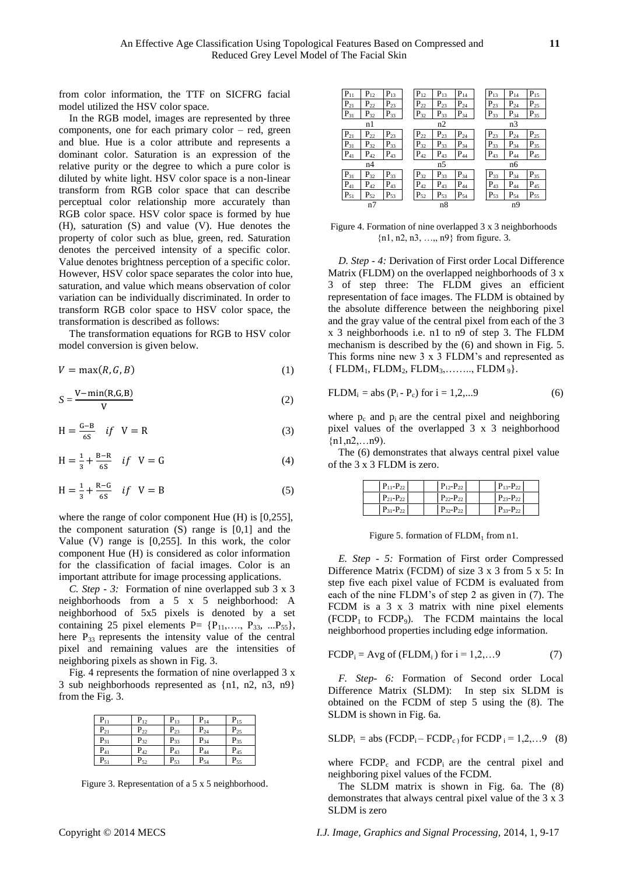from color information, the TTF on SICFRG facial model utilized the HSV color space.

In the RGB model, images are represented by three components, one for each primary color – red, green and blue. Hue is a color attribute and represents a dominant color. Saturation is an expression of the relative purity or the degree to which a pure color is diluted by white light. HSV color space is a non-linear transform from RGB color space that can describe perceptual color relationship more accurately than RGB color space. HSV color space is formed by hue (H), saturation (S) and value (V). Hue denotes the property of color such as blue, green, red. Saturation denotes the perceived intensity of a specific color. Value denotes brightness perception of a specific color. However, HSV color space separates the color into hue, saturation, and value which means observation of color variation can be individually discriminated. In order to transform RGB color space to HSV color space, the transformation is described as follows:

The transformation equations for RGB to HSV color model conversion is given below.

$$
V = \max(R, G, B) \tag{1}
$$

$$
S = \frac{V - \min(R, G, B)}{V}
$$
 (2)

$$
H = \frac{G - B}{6S} \quad \text{if} \quad V = R \tag{3}
$$

$$
H = \frac{1}{3} + \frac{B - R}{6S} \quad \text{if} \quad V = G \tag{4}
$$

$$
H = \frac{1}{3} + \frac{R - G}{6S} \quad \text{if} \quad V = B \tag{5}
$$

where the range of color component Hue (H) is [0,255], the component saturation (S) range is [0,1] and the Value (V) range is [0,255]. In this work, the color component Hue (H) is considered as color information for the classification of facial images. Color is an important attribute for image processing applications.

*C. Step - 3:* Formation of nine overlapped sub 3 x 3 neighborhoods from a 5 x 5 neighborhood: A neighborhood of 5x5 pixels is denoted by a set containing 25 pixel elements  $P = \{P_{11}, \ldots, P_{33}, \ldots, P_{55}\},\$ here  $P_{33}$  represents the intensity value of the central pixel and remaining values are the intensities of neighboring pixels as shown in Fig. 3.

Fig. 4 represents the formation of nine overlapped 3 x 3 sub neighborhoods represented as {n1, n2, n3, n9} from the Fig. 3.

| $P_{11}$ | $P_{12}$ | $P_{13}$ | $P_{14}$ | $P_{15}$ |
|----------|----------|----------|----------|----------|
| $P_{21}$ | $P_{22}$ | $P_{23}$ | $P_{24}$ | $P_{25}$ |
| $P_{31}$ | $P_{32}$ | $P_{33}$ | $P_{34}$ | $P_{35}$ |
| $P_{41}$ | $P_{42}$ | $P_{43}$ | $P_{44}$ | $P_{45}$ |
| $P_{51}$ | $P_{52}$ | $P_{53}$ | $P_{54}$ | $P_{55}$ |

Figure 3. Representation of a 5 x 5 neighborhood.

| $P_{11}$ | $P_{12}$ | $P_{13}$          | $P_{12}$          | $P_{13}$ | $P_{14}$ | $P_{13}$ | $P_{14}$ | $P_{15}$ |
|----------|----------|-------------------|-------------------|----------|----------|----------|----------|----------|
| $P_{21}$ | $P_{22}$ | $P_{23}$          | $P_{22}$          | $P_{23}$ | $P_{24}$ | $P_{23}$ | $P_{24}$ | $P_{25}$ |
| $P_{31}$ | $P_{32}$ | $P_{33}$          | $P_{32}$          | $P_{33}$ | $P_{34}$ | $P_{33}$ | $P_{34}$ | $P_{35}$ |
|          | n1       |                   |                   | n2       |          |          | n3       |          |
| $P_{21}$ | $P_{22}$ | $\mathbf{P}_{23}$ | $P_{22}$          | $P_{23}$ | $P_{24}$ | $P_{23}$ | $P_{24}$ | $P_{25}$ |
| $P_{31}$ | $P_{32}$ | $P_{33}$          | $P_{32}$          | $P_{33}$ | $P_{34}$ | $P_{33}$ | $P_{34}$ | $P_{35}$ |
| $P_{41}$ | $P_{42}$ | $P_{43}$          | $P_{42}$          | $P_{43}$ | $P_{44}$ | $P_{43}$ | $P_{44}$ | $P_{45}$ |
|          | n4       |                   |                   | n5       |          |          | n6       |          |
| $P_{31}$ | $P_{32}$ | $P_{33}$          | $P_{32}$          | $P_{33}$ | $P_{34}$ | $P_{33}$ | $P_{34}$ | $P_{35}$ |
| $P_{41}$ | $P_{42}$ | $P_{43}$          | $P_{42}$          | $P_{43}$ | $P_{44}$ | $P_{43}$ | $P_{44}$ | $P_{45}$ |
| $P_{51}$ | $P_{52}$ | $P_{53}$          | $\mathrm{P}_{52}$ | $P_{53}$ | $P_{54}$ | $P_{53}$ | $P_{54}$ | $P_{55}$ |
|          | n7       |                   |                   | n8       |          |          | n9       |          |
|          |          |                   |                   |          |          |          |          |          |

Figure 4. Formation of nine overlapped 3 x 3 neighborhoods {n1, n2, n3, …,, n9} from figure. 3.

*D. Step - 4:* Derivation of First order Local Difference Matrix (FLDM) on the overlapped neighborhoods of 3 x 3 of step three: The FLDM gives an efficient representation of face images. The FLDM is obtained by the absolute difference between the neighboring pixel and the gray value of the central pixel from each of the 3 x 3 neighborhoods i.e. n1 to n9 of step 3. The FLDM mechanism is described by the (6) and shown in Fig. 5. This forms nine new 3 x 3 FLDM's and represented as  $\{ FLDM_1, FLDM_2, FLDM_3, \ldots, FLDM_g \}.$ 

FLDMi = abs (Pi - Pc) for i = 1,2,...9 (6)

where  $p_c$  and  $p_i$  are the central pixel and neighboring pixel values of the overlapped 3 x 3 neighborhood  ${n1, n2,...n9}$ .

The (6) demonstrates that always central pixel value of the 3 x 3 FLDM is zero.

| $P_{11}-P_{22}$   | $P_{12}-P_{22}$ | $P_{13}-P_{22}$ |
|-------------------|-----------------|-----------------|
| $P_{21}-P_{22}$   | $P_{22}-P_{22}$ | $P_{23}-P_{22}$ |
| $P_{31} - P_{22}$ | $P_{32}-P_{22}$ | $P_{33}-P_{22}$ |

Figure 5. formation of  $FLDM<sub>1</sub>$  from n1.

*E. Step - 5:* Formation of First order Compressed Difference Matrix (FCDM) of size 3 x 3 from 5 x 5: In step five each pixel value of FCDM is evaluated from each of the nine FLDM's of step 2 as given in (7). The FCDM is a 3 x 3 matrix with nine pixel elements  $(FCDP<sub>1</sub>$  to  $FCDP<sub>9</sub>$ ). The  $FCDM$  maintains the local neighborhood properties including edge information.

$$
FCDPi = Avg of (FLDMi) for i = 1, 2, \dots 9
$$
 (7)

*F. Step- 6:* Formation of Second order Local Difference Matrix (SLDM): In step six SLDM is obtained on the FCDM of step 5 using the (8). The SLDM is shown in Fig. 6a.

SLDPi = abs (FCDPi – FCDPc ) for FCDP <sup>i</sup> = 1,2,…9 (8)

where  $FCDP_c$  and  $FCDP_i$  are the central pixel and neighboring pixel values of the FCDM.

The SLDM matrix is shown in Fig. 6a. The (8) demonstrates that always central pixel value of the 3 x 3 SLDM is zero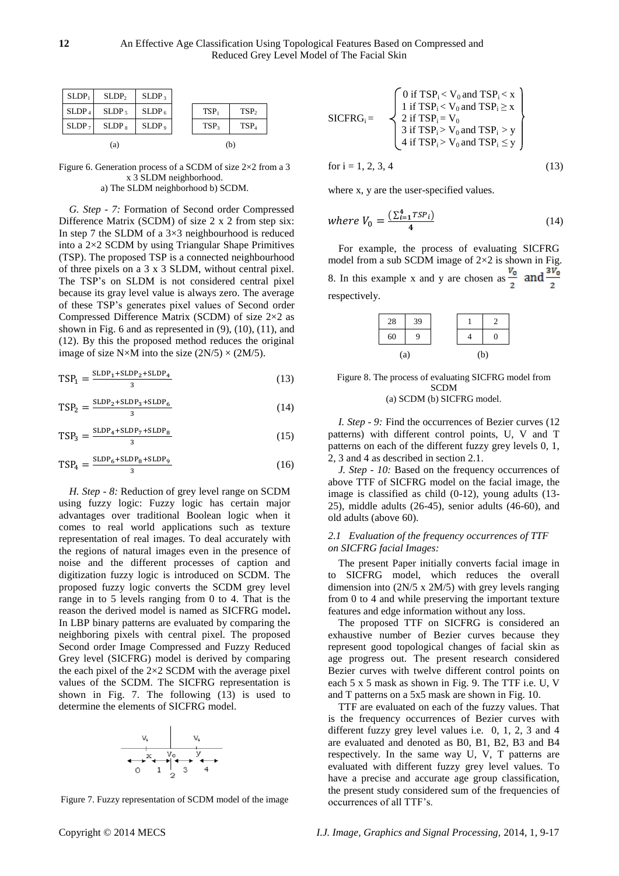| SLDP <sub>1</sub> | SLDP <sub>2</sub> | SLDP <sub>3</sub> |                  |                  |
|-------------------|-------------------|-------------------|------------------|------------------|
| SLDP <sub>4</sub> | SLDP <sub>5</sub> | SLDP <sub>6</sub> | TSP <sub>1</sub> | TSP <sub>2</sub> |
| SLDP <sub>7</sub> | $SLDP_8$          | SLDP <sub>9</sub> | TSP <sub>3</sub> | TSP <sub>4</sub> |
|                   | (a)               |                   |                  | (b)              |

Figure 6. Generation process of a SCDM of size  $2 \times 2$  from a 3 x 3 SLDM neighborhood. a) The SLDM neighborhood b) SCDM.

*G. Step - 7:* Formation of Second order Compressed Difference Matrix (SCDM) of size 2 x 2 from step six: In step 7 the SLDM of a  $3\times3$  neighbourhood is reduced into a  $2\times2$  SCDM by using Triangular Shape Primitives (TSP). The proposed TSP is a connected neighbourhood of three pixels on a 3 x 3 SLDM, without central pixel. The TSP's on SLDM is not considered central pixel because its gray level value is always zero. The average of these TSP's generates pixel values of Second order Compressed Difference Matrix (SCDM) of size  $2 \times 2$  as shown in Fig. 6 and as represented in  $(9)$ ,  $(10)$ ,  $(11)$ , and (12). By this the proposed method reduces the original image of size N  $\times$ M into the size (2N/5)  $\times$  (2M/5).

$$
TSP_1 = \frac{SLDP_1 + SLDP_2 + SLDP_4}{3} \tag{13}
$$

$$
TSP_2 = \frac{SLDP_2 + SLDP_3 + SLDP_6}{3} \tag{14}
$$

$$
TSP_3 = \frac{SLDP_4 + SLDP_7 + SLDP_8}{3} \tag{15}
$$

$$
TSP_4 = \frac{SLDP_6 + SLDP_8 + SLDP_9}{3} \tag{16}
$$

*H. Step - 8:* Reduction of grey level range on SCDM using fuzzy logic: Fuzzy logic has certain major advantages over traditional Boolean logic when it comes to real world applications such as texture representation of real images. To deal accurately with the regions of natural images even in the presence of noise and the different processes of caption and digitization fuzzy logic is introduced on SCDM. The proposed fuzzy logic converts the SCDM grey level range in to 5 levels ranging from 0 to 4. That is the reason the derived model is named as SICFRG model**.** In LBP binary patterns are evaluated by comparing the neighboring pixels with central pixel. The proposed Second order Image Compressed and Fuzzy Reduced Grey level (SICFRG) model is derived by comparing the each pixel of the  $2\times2$  SCDM with the average pixel values of the SCDM. The SICFRG representation is shown in Fig. 7. The following (13) is used to determine the elements of SICFRG model.



Figure 7. Fuzzy representation of SCDM model of the image

for 
$$
i = 1, 2, 3, 4
$$
 (13)

where x, y are the user-specified values.

where 
$$
V_0 = \frac{\left(\sum_{i=1}^4 TSP_i\right)}{4}
$$
 (14)

For example, the process of evaluating SICFRG model from a sub SCDM image of  $2 \times 2$  is shown in Fig. 8. In this example x and y are chosen as  $\frac{v_0}{2}$  and  $\frac{3v_0^2}{2}$ respectively.



Figure 8. The process of evaluating SICFRG model from SCDM (a) SCDM (b) SICFRG model.

*I. Step - 9:* Find the occurrences of Bezier curves (12 patterns) with different control points, U, V and T patterns on each of the different fuzzy grey levels 0, 1, 2, 3 and 4 as described in section 2.1.

*J. Step - 10:* Based on the frequency occurrences of above TTF of SICFRG model on the facial image, the image is classified as child (0-12), young adults (13- 25), middle adults (26-45), senior adults (46-60), and old adults (above 60).

## *2.1 Evaluation of the frequency occurrences of TTF on SICFRG facial Images:*

The present Paper initially converts facial image in to SICFRG model, which reduces the overall dimension into (2N/5 x 2M/5) with grey levels ranging from 0 to 4 and while preserving the important texture features and edge information without any loss.

The proposed TTF on SICFRG is considered an exhaustive number of Bezier curves because they represent good topological changes of facial skin as age progress out. The present research considered Bezier curves with twelve different control points on each 5 x 5 mask as shown in Fig. 9. The TTF i.e. U, V and T patterns on a 5x5 mask are shown in Fig. 10.

TTF are evaluated on each of the fuzzy values. That is the frequency occurrences of Bezier curves with different fuzzy grey level values i.e. 0, 1, 2, 3 and 4 are evaluated and denoted as B0, B1, B2, B3 and B4 respectively. In the same way U, V, T patterns are evaluated with different fuzzy grey level values. To have a precise and accurate age group classification, the present study considered sum of the frequencies of occurrences of all TTF's.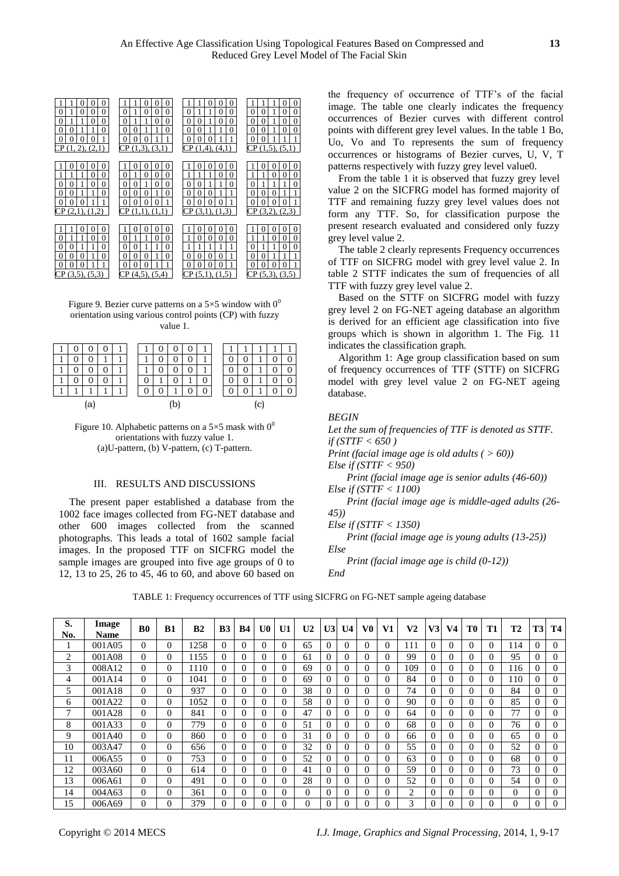| 0<br>0<br>$\Omega$<br>$\theta$<br>0<br>0<br>$\Omega$<br>$\overline{0}$<br>$\theta$<br>0                                                                                                                    | 0<br>0<br>0<br>$\theta$<br>0<br>0<br>0<br>1<br>$\Omega$<br>$\overline{0}$<br>0                                                                                                                        | $\Omega$<br>0<br>0<br>$\Omega$<br>0<br>$\Omega$<br>$\overline{0}$<br>0<br>$\Omega$<br>0                                                                                              | $\overline{0}$<br>$\Omega$<br>$\theta$<br>0<br>0<br>0<br>$\overline{0}$<br>$\overline{0}$<br>$\Omega$<br>0                                                                          |
|------------------------------------------------------------------------------------------------------------------------------------------------------------------------------------------------------------|-------------------------------------------------------------------------------------------------------------------------------------------------------------------------------------------------------|--------------------------------------------------------------------------------------------------------------------------------------------------------------------------------------|-------------------------------------------------------------------------------------------------------------------------------------------------------------------------------------|
| $\boldsymbol{0}$<br>$\theta$<br>0<br>$\theta$<br>1<br>0<br>$\mathbf{\Omega}$<br>$\mathbf{0}$<br>CP(1, 2), (2,1)                                                                                            | $\overline{0}$<br>$\theta$<br>1<br>0<br>1<br>$\theta$<br>0<br>$\mathbf{0}$<br>CP(1,3), (3,1)                                                                                                          | $\theta$<br>0<br>$\Omega$<br>$\Omega$<br>Ω<br>$\Omega$<br>$CP(1,4)$ , $(4,1)$                                                                                                        | $\overline{0}$<br>$\theta$<br>0<br>0<br>1<br>0<br>$\Omega$<br>CP(1,5), (5,1)                                                                                                        |
| 0<br>0<br>$\Omega$<br>$\theta$<br>0<br>0<br>$\boldsymbol{0}$<br>$\theta$<br>0<br>0<br>$\overline{0}$<br>$\theta$<br>0<br>$\theta$<br>1<br>$\Omega$<br>CP(2,1), (1,2)                                       | $\Omega$<br>0<br>0<br>$_{0}$<br>$\overline{0}$<br>0<br>0<br>0<br>$\theta$<br>$\overline{0}$<br>0<br>1<br>0<br>$\theta$<br>$\Omega$<br>$\Omega$<br>0<br>1<br>0<br>0<br>0<br>$\Omega$<br>CP(1,1), (1,1) | 0<br>$\Omega$<br>$\mathbf{\Omega}$<br>$\mathbf{\Omega}$<br>0<br>$\Omega$<br>$\Omega$<br>$\Omega$<br>0<br>$\theta$<br>1<br>0<br>$\Omega$<br>$\Omega$<br>Ω<br>0<br>0<br>CP(3,1), (1,3) | $\theta$<br>0<br>0<br>$\overline{0}$<br>0<br>$\theta$<br>0<br>1<br>$\theta$<br>0<br>0<br>$\Omega$<br>0<br>0<br>CP(3,2), (2,3)                                                       |
| $\Omega$<br>0<br>$\Omega$<br>$\overline{0}$<br>$\theta$<br>0<br>$\boldsymbol{0}$<br>$\Omega$<br>0<br>$\overline{0}$<br>1<br>0<br>0<br>$\Omega$<br>$\overline{0}$<br>1<br>$\mathbf{0}$<br>$(3,5)$ , $(5,3)$ | $\Omega$<br>0<br>$\Omega$<br>0<br>$\theta$<br>0<br>0<br>$\overline{0}$<br>0<br>$\Omega$<br>0<br>0<br>0<br>0<br>1<br>0<br>0<br>$\Omega$<br>$(4,5)$ , $(5,4)$<br>CР                                     | 0<br>0<br>0<br>0<br>$\Omega$<br>0<br>$\Omega$<br>0<br>0<br>0<br>$\Omega$<br>0<br>$\Omega$<br>0<br>0<br>0<br>(5,1)<br>(1,5)<br>СP                                                     | $\theta$<br>$\Omega$<br>$\Omega$<br>$\mathbf{\Omega}$<br>$\theta$<br>0<br>$_{0}$<br>$\overline{0}$<br>0<br>0<br>1<br>0<br>$\theta$<br>1<br>$\theta$<br>0<br>Ω<br>CP (5,3),<br>(3,5) |

Figure 9. Bezier curve patterns on a  $5 \times 5$  window with  $0^0$ orientation using various control points (CP) with fuzzy value 1.

|  |    |  |  |    |   | T |   |          |
|--|----|--|--|----|---|---|---|----------|
|  |    |  |  |    |   |   |   | $\Omega$ |
|  |    |  |  |    |   |   |   |          |
|  |    |  |  |    |   | 0 |   | ∩        |
|  |    |  |  |    | O |   |   |          |
|  | ʻа |  |  | ſЪ |   |   | C |          |

|  | U |   | J |  |
|--|---|---|---|--|
|  |   |   |   |  |
|  |   | ( |   |  |

Figure 10. Alphabetic patterns on a  $5 \times 5$  mask with  $0^0$ orientations with fuzzy value 1. (a)U-pattern, (b) V-pattern, (c) T-pattern.

## III. RESULTS AND DISCUSSIONS

The present paper established a database from the 1002 face images collected from FG-NET database and other 600 images collected from the scanned photographs. This leads a total of 1602 sample facial images. In the proposed TTF on SICFRG model the sample images are grouped into five age groups of 0 to 12, 13 to 25, 26 to 45, 46 to 60, and above 60 based on

the frequency of occurrence of TTF's of the facial image. The table one clearly indicates the frequency occurrences of Bezier curves with different control points with different grey level values. In the table 1 Bo, Uo, Vo and To represents the sum of frequency occurrences or histograms of Bezier curves, U, V, T patterns respectively with fuzzy grey level value0.

From the table 1 it is observed that fuzzy grey level value 2 on the SICFRG model has formed majority of TTF and remaining fuzzy grey level values does not form any TTF. So, for classification purpose the present research evaluated and considered only fuzzy grey level value 2.

The table 2 clearly represents Frequency occurrences of TTF on SICFRG model with grey level value 2. In table 2 STTF indicates the sum of frequencies of all TTF with fuzzy grey level value 2.

Based on the STTF on SICFRG model with fuzzy grey level 2 on FG-NET ageing database an algorithm is derived for an efficient age classification into five groups which is shown in algorithm 1. The Fig. 11 indicates the classification graph.

Algorithm 1: Age group classification based on sum of frequency occurrences of TTF (STTF) on SICFRG model with grey level value 2 on FG-NET ageing database.

#### *BEGIN*

*Let the sum of frequencies of TTF is denoted as STTF. if (STTF < 650 ) Print (facial image age is old adults ( > 60)) Else if (STTF < 950) Print (facial image age is senior adults (46-60)) Else if (STTF < 1100)*

*Print (facial image age is middle-aged adults (26- 45))* 

*Else if (STTF < 1350)*

*Print (facial image age is young adults (13-25)) Else*

*Print (facial image age is child (0-12))*

*End*

TABLE 1: Frequency occurrences of TTF using SICFRG on FG-NET sample ageing database

| S.<br>No. | Image<br><b>Name</b> | B <sub>0</sub> | B1       | B <sub>2</sub> | B <sub>3</sub> | <b>B4</b>    | U <sub>0</sub> | U1       | U <sub>2</sub> | U3             | U <sub>4</sub> | V0       | V1       | V <sub>2</sub> | V3       | V4       | T0       | T <sub>1</sub> | <b>T2</b> | <b>T3</b> | <b>T4</b> |
|-----------|----------------------|----------------|----------|----------------|----------------|--------------|----------------|----------|----------------|----------------|----------------|----------|----------|----------------|----------|----------|----------|----------------|-----------|-----------|-----------|
|           | 001A05               | 0              | $\Omega$ | 1258           | $\Omega$       | $\Omega$     | $\Omega$       | 0        | 65             | $\overline{0}$ |                | $\Omega$ | $\Omega$ | 111            | $\Omega$ | 0        | 0        | 0              | 114       | $\Omega$  | $\Omega$  |
| 2         | 001A08               | $\Omega$       | $\Omega$ | 155            | $\Omega$       | $\Omega$     | $\Omega$       | 0        | 61             | 0              | $\theta$       | $\Omega$ | $\Omega$ | 99             | $\Omega$ | 0        | 0        | 0              | 95        | $\Omega$  | $\Omega$  |
| 3         | 008A12               | $\Omega$       | $\Omega$ | 1110           | $\Omega$       | $\Omega$     | $\Omega$       | 0        | 69             | $\Omega$       | $\Omega$       | $\Omega$ | 0        | 109            | $\Omega$ | 0        | $\Omega$ | 0              | 116       | $\Omega$  | $\Omega$  |
| 4         | 001A14               | $\Omega$       | $\Omega$ | 1041           | $\Omega$       | $\Omega$     | $\Omega$       | $\Omega$ | 69             | $\Omega$       | $\Omega$       | $\Omega$ | $\Omega$ | 84             | $\Omega$ | 0        | 0        | 0              | 110       | $\Omega$  | $\Omega$  |
| 5         | 001A18               | 0              | $\Omega$ | 937            | $\Omega$       | $\Omega$     | $\Omega$       | 0        | 38             | $\Omega$       |                | $\Omega$ | $\Omega$ | 74             | $\Omega$ | 0        | 0        | 0              | 84        | $\Omega$  | $\Omega$  |
| 6         | 001A22               | 0              | $\Omega$ | 1052           | $\Omega$       | $\mathbf{U}$ | $\Omega$       | 0        | 58             | 0              |                | $\Omega$ | 0        | 90             | 0        | 0        | 0        | 0              | 85        | $\Omega$  | $\Omega$  |
| 7         | 001A28               | $\Omega$       | $\Omega$ | 841            | $\Omega$       | $\Omega$     | $\Omega$       | 0        | 47             | $\Omega$       | 0              | $\Omega$ | $\Omega$ | 64             | $\Omega$ | $\Omega$ | $\Omega$ | 0              | 77        | $\Omega$  | $\Omega$  |
| 8         | 001A33               | $\Omega$       | $\Omega$ | 779            | $\Omega$       | $\Omega$     | $\Omega$       | 0        | 51             | $\Omega$       | $\Omega$       | $\Omega$ | $\Omega$ | 68             | $\Omega$ | 0        | 0        | 0              | 76        | $\Omega$  | $\Omega$  |
| 9         | 001A40               | $\Omega$       | $\Omega$ | 860            | $\Omega$       | $\Omega$     | $\Omega$       | 0        | 31             | $\Omega$       | $\Omega$       | $\Omega$ | $\Omega$ | 66             | $\Omega$ | $\Omega$ | 0        | 0              | 65        | $\Omega$  | $\Omega$  |
| 10        | 003A47               | $\Omega$       | $\Omega$ | 656            | $\Omega$       | $\Omega$     | $\Omega$       | 0        | 32             | $\Omega$       |                | $\Omega$ | $\Omega$ | 55             | $\Omega$ | 0        | 0        | 0              | 52        | $\Omega$  | $\Omega$  |
| 11        | 006A55               | $\Omega$       | $\Omega$ | 753            | $\Omega$       | $\Omega$     | $\Omega$       | $\theta$ | 52             | $\Omega$       | $\theta$       | $\Omega$ | $\Omega$ | 63             | $\Omega$ | 0        | 0        | 0              | 68        | $\Omega$  | $\Omega$  |
| 12        | 003A60               | $\Omega$       | $\Omega$ | 614            | $\Omega$       | 0            | $\Omega$       | 0        | 41             | $\Omega$       | 0              | $\Omega$ | 0        | 59             | $\Omega$ | 0        | 0        | 0              | 73        | $\Omega$  | $\Omega$  |
| 13        | 006A61               | $\Omega$       | $\Omega$ | 491            | $\Omega$       | 0            | $\Omega$       | $^{(1)}$ | 28             | $\Omega$       | $\theta$       | $\Omega$ | $\Omega$ | 52             | $\Omega$ | 0        | 0        | 0              | 54        | $\Omega$  | $\Omega$  |
| 14        | 004A63               | $\Omega$       | $\Omega$ | 361            | $\Omega$       | 0            | $\Omega$       | 0        | $\Omega$       | 0              |                | $\Omega$ | $\Omega$ | $\overline{c}$ | $\Omega$ | 0        | $\Omega$ | 0              | $\Omega$  | $\Omega$  | $\Omega$  |
| 15        | 006A69               | 0              |          | 379            | $\Omega$       |              |                |          |                | 0              |                |          |          | 3              |          |          |          |                | 0         | $\Omega$  |           |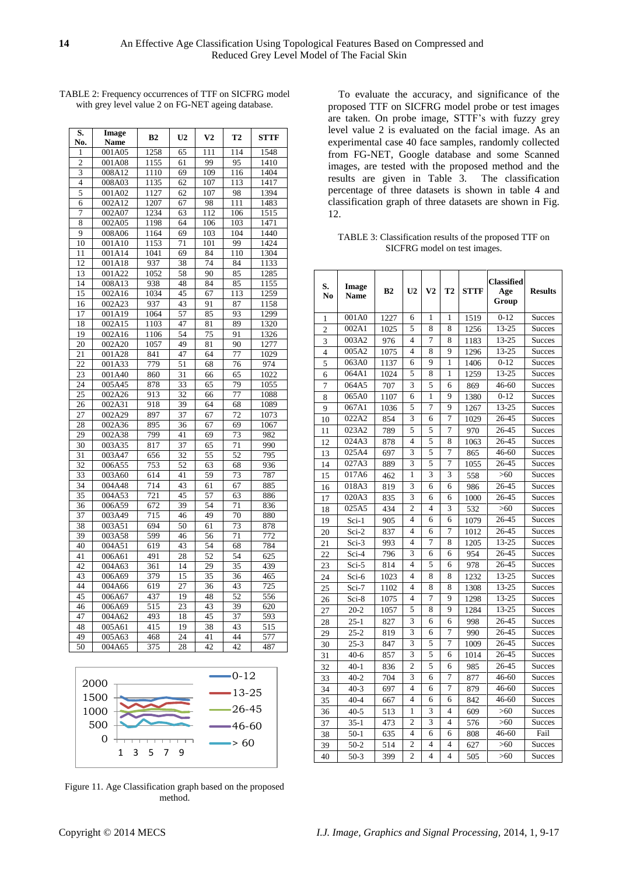| S.             | Image               | B <sub>2</sub> | U <sub>2</sub> | V <sub>2</sub> | T <sub>2</sub> | <b>STTF</b>      |
|----------------|---------------------|----------------|----------------|----------------|----------------|------------------|
| No.            | Name                |                |                |                |                |                  |
| 1              | $\overline{0}01A05$ | 1258           | 65             | 111            | 114            | 1548             |
| $\overline{c}$ | 001A08              | 1155           | 61             | 99             | 95             | 1410             |
| 3              | 008A12              | 1110           | 69             | 109            | 116            | 1404             |
| $\overline{4}$ | 008A03              | 1135           | 62             | 107            | 113            | 1417             |
| 5              | 001A02              | 1127           | 62             | 107            | 98             | 1394             |
| 6              | 002A12              | 1207           | 67             | 98             | 111            | 1483             |
| 7              | 002A07              | 1234           | 63             | 112            | 106            | 1515             |
| 8              | 002A05              | 1198           | 64             | 106            | 103            | 1471             |
| 9              | 008A06              | 1164           | 69             | 103            | 104            | 1440             |
| 10             | 001A10              | 1153           | 71             | 101            | 99             | 1424             |
| 11             | 001A14              | 1041           | 69             | 84             | 110            | 1304             |
| 12             | 001A18              | 937            | 38             | 74             | 84             | 1133             |
| 13             | 001A22              | 1052           | 58             | 90             | 85             | 1285             |
| 14             | 008A13              | 938            | 48             | 84             | 85             | 1155             |
| 15             | 002A16              | 1034           | 45             | 67             | 113            | 1259             |
| 16             | 002A23              | 937            | 43             | 91             | 87             | 1158             |
| 17             | 001A19              | 1064           | 57             | 85             | 93             | 1299             |
| 18             | 002A15              | 1103           | 47             | 81             | 89             | 1320             |
| 19             | 002A16              | 1106           | 54             | 75             | 91             | 1326             |
| 20             | 002A20              | 1057           | 49             | 81             | 90             | 1277             |
| 21             | 001A28              | 841            | 47             | 64             | 77             | 1029             |
| 22             | 001A33              | 779            | 51             | 68             | 76             | 974              |
| 23             | 001A40              | 860            | 31             | 66             | 65             | 1022             |
| 24             | 005A45              | 878            | 33             | 65             | 79             | 1055             |
| 25             | 002A26              | 913            | 32             | 66             | 77             | 1088             |
| 26             | 002A31              | 918            | 39             | 64             | 68             | 1089             |
| 27             | 002A29              | 897            | 37             | 67             | 72             | 1073             |
| 28             | 002A36              | 895            | 36             | 67             | 69             | 1067             |
| 29             | 002A38              | 799            | 41             | 69             | 73             | 982              |
| 30             | 003A35              | 817            | 37             | 65             | 71             | 990              |
| 31             | 003A47              | 656            | 32             | 55             | 52             | 795              |
| 32             | 006A55              | 753            | 52             | 63             | 68             | 936              |
| 33             | 003A60              | 614            | 41             | 59             | 73             | 787              |
| 34             | 004A48              | 714            | 43             | 61             | 67             | 885              |
| 35             | 004A53              | 721            | 45             | 57             | 63             | 886              |
| 36             | 006A59              | 672            | 39             | 54             | 71             | 836              |
| 37             | 003A49              | 715            | 46             | 49             | 70             | 880              |
| 38             | 003A51              | 694            | 50             | 61             | 73             | 878              |
| 39             | 003A58              | 599            | 46             | 56             | 71             | 772              |
| 40             | 004A51              | 619            | 43             | 54             | 68             | 784              |
| 41             | 006A61              | 491            | 28             | 52             | 54             | 625              |
| 42             | 004A63              | 361            | 14             | 29             | 35             | 439              |
| 43             | 006A69              | 379            | 15             | 35             | 36             | 465              |
| 44             | 004A66              | 619            | 27             | 36             | 43             | 725              |
| 45             | 006A67              | 437            | 19             | 48             | 52             | 556              |
| 46             | 006A69              | 515            | 23             | 43             | 39             | 620              |
| 47             | 004A62              | 493            | 18             | 45             | 37             | 593              |
| 48             | 005A61              | 415            | 19             | 38             | 43             | $\overline{515}$ |
| 49             | 005A63              | 468            | 24             | 41             | 44             | 577              |
| 50             | 004A65              | 375            | 28             | 42             | 42             | 487              |

TABLE 2: Frequency occurrences of TTF on SICFRG model with grey level value 2 on FG-NET ageing database.



Figure 11. Age Classification graph based on the proposed method.

To evaluate the accuracy, and significance of the proposed TTF on SICFRG model probe or test images are taken. On probe image, STTF's with fuzzy grey level value 2 is evaluated on the facial image. As an experimental case 40 face samples, randomly collected from FG-NET, Google database and some Scanned images, are tested with the proposed method and the results are given in Table 3. The classification percentage of three datasets is shown in table 4 and classification graph of three datasets are shown in Fig. 12.

TABLE 3: Classification results of the proposed TTF on SICFRG model on test images.

| S.<br>N <sub>0</sub> | Image<br><b>Name</b> | B <sub>2</sub> | U <sub>2</sub> | V <sub>2</sub>          | T <sub>2</sub>          | <b>STTF</b> | <b>Classified</b><br>Age<br>Group | <b>Results</b> |
|----------------------|----------------------|----------------|----------------|-------------------------|-------------------------|-------------|-----------------------------------|----------------|
| 1                    | 001A0                | 1227           | 6              | 1                       | 1                       | 1519        | $0 - 12$                          | <b>Succes</b>  |
| $\overline{c}$       | 002A1                | 1025           | 5              | 8                       | 8                       | 1256        | 13-25                             | <b>Succes</b>  |
| 3                    | 003A2                | 976            | $\overline{4}$ | $\overline{7}$          | 8                       | 1183        | 13-25                             | <b>Succes</b>  |
| 4                    | 005A2                | 1075           | $\overline{4}$ | 8                       | 9                       | 1296        | 13-25                             | Succes         |
| 5                    | 063A0                | 1137           | 6              | 9                       | 1                       | 1406        | $0 - 12$                          | Succes         |
| 6                    | 064A1                | 1024           | 5              | 8                       | 1                       | 1259        | 13-25                             | <b>Succes</b>  |
| $\overline{7}$       | 064A5                | 707            | 3              | 5                       | 6                       | 869         | $46 - 60$                         | <b>Succes</b>  |
| 8                    | 065A0                | 1107           | 6              | 1                       | 9                       | 1380        | $0 - 12$                          | <b>Succes</b>  |
| 9                    | 067A1                | 1036           | 5              | $\overline{7}$          | 9                       | 1267        | 13-25                             | <b>Succes</b>  |
| 10                   | 022A2                | 854            | 3              | 6                       | 7                       | 1029        | 26-45                             | Succes         |
| 11                   | 023A2                | 789            | 5              | 5                       | 7                       | 970         | 26-45                             | Succes         |
| 12                   | 024A3                | 878            | $\overline{4}$ | 5                       | 8                       | 1063        | 26-45                             | Succes         |
| 13                   | 025A4                | 697            | 3              | 5                       | 7                       | 865         | $46 - 60$                         | <b>Succes</b>  |
| 14                   | 027A3                | 889            | 3              | 5                       | $\overline{7}$          | 1055        | 26-45                             | <b>Succes</b>  |
| 15                   | 017A6                | 462            | $\mathbf{1}$   | $\overline{\mathbf{3}}$ | 3                       | 558         | $>60$                             | <b>Succes</b>  |
| 16                   | 018A3                | 819            | 3              | 6                       | 6                       | 986         | 26-45                             | <b>Succes</b>  |
| 17                   | 020A3                | 835            | 3              | 6                       | 6                       | 1000        | 26-45                             | <b>Succes</b>  |
| 18                   | 025A5                | 434            | $\overline{2}$ | 4                       | 3                       | 532         | $>60$                             | <b>Succes</b>  |
| 19                   | $Sci-1$              | 905            | 4              | 6                       | 6                       | 1079        | 26-45                             | <b>Succes</b>  |
| 20                   | Sci-2                | 837            | $\overline{4}$ | 6                       | 7                       | 1012        | 26-45                             | <b>Succes</b>  |
| 21                   | $Sci-3$              | 993            | $\overline{4}$ | 7                       | 8                       | 1205        | 13-25                             | <b>Succes</b>  |
| 22                   | Sci-4                | 796            | 3              | 6                       | 6                       | 954         | 26-45                             | <b>Succes</b>  |
| 23                   | Sci-5                | 814            | $\overline{4}$ | 5                       | 6                       | 978         | 26-45                             | <b>Succes</b>  |
| 24                   | Sci-6                | 1023           | $\overline{4}$ | 8                       | 8                       | 1232        | 13-25                             | <b>Succes</b>  |
| 25                   | Sci-7                | 1102           | $\overline{4}$ | 8                       | 8                       | 1308        | 13-25                             | <b>Succes</b>  |
| 26                   | Sci-8                | 1075           | $\overline{4}$ | 7                       | 9                       | 1298        | 13-25                             | <b>Succes</b>  |
| 27                   | $20 - 2$             | 1057           | 5              | 8                       | 9                       | 1284        | 13-25                             | <b>Succes</b>  |
| 28                   | $25 - 1$             | 827            | 3              | 6                       | 6                       | 998         | 26-45                             | <b>Succes</b>  |
| 29                   | $25 - 2$             | 819            | 3              | 6                       | 7                       | 990         | 26-45                             | <b>Succes</b>  |
| 30                   | $25 - 3$             | 847            | 3              | 5                       | 7                       | 1009        | 26-45                             | <b>Succes</b>  |
| 31                   | $40-6$               | 857            | 3              | 5                       | 6                       | 1014        | 26-45                             | <b>Succes</b>  |
| 32                   | $40-1$               | 836            | $\overline{2}$ | 5                       | 6                       | 985         | 26-45                             | <b>Succes</b>  |
| 33                   | $40 - 2$             | 704            | 3              | 6                       | 7                       | 877         | 46-60                             | <b>Succes</b>  |
| 34                   | $40-3$               | 697            | 4              | 6                       | 7                       | 879         | $46 - 60$                         | <b>Succes</b>  |
| 35                   | $40 - 4$             | 667            | $\overline{4}$ | 6                       | 6                       | 842         | 46-60                             | <b>Succes</b>  |
| 36                   | $40 - 5$             | 513            | $\mathbf{1}$   | 3                       | $\overline{4}$          | 609         | >60                               | <b>Succes</b>  |
| 37                   | $35 - 1$             | 473            | $\overline{2}$ | 3                       | $\overline{4}$          | 576         | >60                               | Succes         |
| 38                   | $50-1$               | 635            | 4              | 6                       | 6                       | 808         | 46-60                             | Fail           |
| 39                   | $50-2$               | 514            | $\overline{c}$ | $\overline{4}$          | $\overline{4}$          | 627         | >60                               | <b>Succes</b>  |
| 40                   | $50-3$               | 399            | $\overline{c}$ | $\overline{\mathbf{4}}$ | $\overline{\mathbf{4}}$ | 505         | $>60$                             | <b>Succes</b>  |

|<br>|<br>|

|<br>|<br>|

s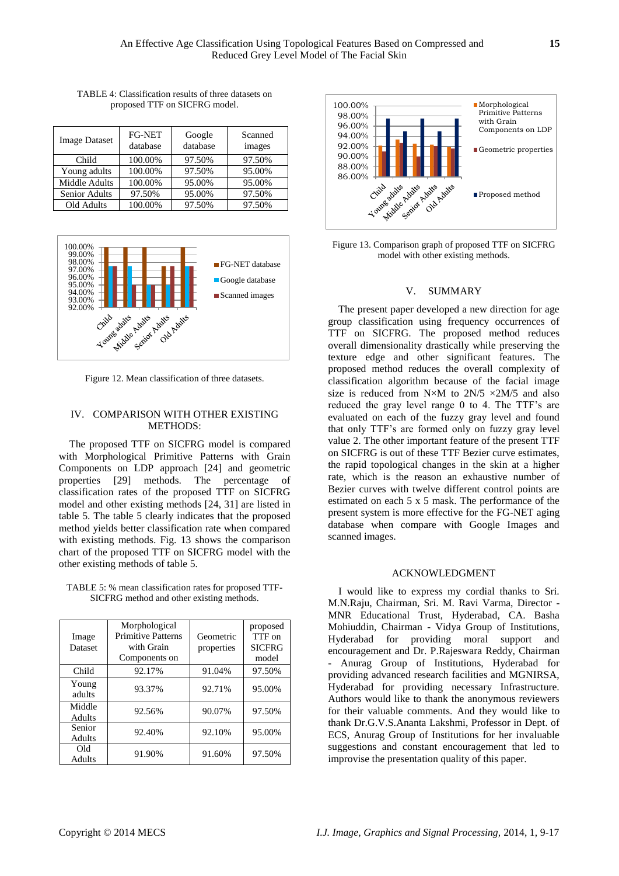| <b>Image Dataset</b> | <b>FG-NET</b><br>database | Google<br>database | Scanned<br>images |
|----------------------|---------------------------|--------------------|-------------------|
| Child                | 100.00%                   | 97.50%             | 97.50%            |
| Young adults         | 100.00%                   | 97.50%             | 95.00%            |
| Middle Adults        | 100.00%                   | 95.00%             | 95.00%            |
| <b>Senior Adults</b> | 97.50%                    | 95.00%             | 97.50%            |
| Old Adults           | 100.00%                   | 97.50%             | 97.50%            |

TABLE 4: Classification results of three datasets on proposed TTF on SICFRG model.



Figure 12. Mean classification of three datasets.

## IV. COMPARISON WITH OTHER EXISTING METHODS:

The proposed TTF on SICFRG model is compared with Morphological Primitive Patterns with Grain Components on LDP approach [24] and geometric properties [29] methods. The percentage of classification rates of the proposed TTF on SICFRG model and other existing methods [24, 31] are listed in table 5. The table 5 clearly indicates that the proposed method yields better classification rate when compared with existing methods. Fig. 13 shows the comparison chart of the proposed TTF on SICFRG model with the other existing methods of table 5.

TABLE 5: % mean classification rates for proposed TTF-SICFRG method and other existing methods.

| Image<br><b>Dataset</b> | Morphological<br><b>Primitive Patterns</b><br>with Grain<br>Components on | Geometric<br>properties | proposed<br>TTF on<br><b>SICFRG</b><br>model |
|-------------------------|---------------------------------------------------------------------------|-------------------------|----------------------------------------------|
| Child                   | 92.17%                                                                    | 91.04%                  | 97.50%                                       |
| Young<br>adults         | 93.37%                                                                    | 92.71%                  | 95.00%                                       |
| Middle<br>Adults        | 92.56%                                                                    | 90.07%                  | 97.50%                                       |
| Senior<br>Adults        | 92.40%                                                                    | 92.10%                  | 95.00%                                       |
| Old<br>Adults           | 91.90%                                                                    | 91.60%                  | 97.50%                                       |



Figure 13. Comparison graph of proposed TTF on SICFRG model with other existing methods.

## V. SUMMARY

The present paper developed a new direction for age group classification using frequency occurrences of TTF on SICFRG. The proposed method reduces overall dimensionality drastically while preserving the texture edge and other significant features. The proposed method reduces the overall complexity of classification algorithm because of the facial image size is reduced from N $\times$ M to 2N/5  $\times$ 2M/5 and also reduced the gray level range 0 to 4. The TTF's are evaluated on each of the fuzzy gray level and found that only TTF's are formed only on fuzzy gray level value 2. The other important feature of the present TTF on SICFRG is out of these TTF Bezier curve estimates, the rapid topological changes in the skin at a higher rate, which is the reason an exhaustive number of Bezier curves with twelve different control points are estimated on each 5 x 5 mask. The performance of the present system is more effective for the FG-NET aging database when compare with Google Images and scanned images.

#### ACKNOWLEDGMENT

I would like to express my cordial thanks to Sri. M.N.Raju, Chairman, Sri. M. Ravi Varma, Director - MNR Educational Trust, Hyderabad, CA. Basha Mohiuddin, Chairman - Vidya Group of Institutions, Hyderabad for providing moral support and encouragement and Dr. P.Rajeswara Reddy, Chairman - Anurag Group of Institutions, Hyderabad for providing advanced research facilities and MGNIRSA, Hyderabad for providing necessary Infrastructure. Authors would like to thank the anonymous reviewers for their valuable comments. And they would like to thank Dr.G.V.S.Ananta Lakshmi, Professor in Dept. of ECS, Anurag Group of Institutions for her invaluable suggestions and constant encouragement that led to improvise the presentation quality of this paper.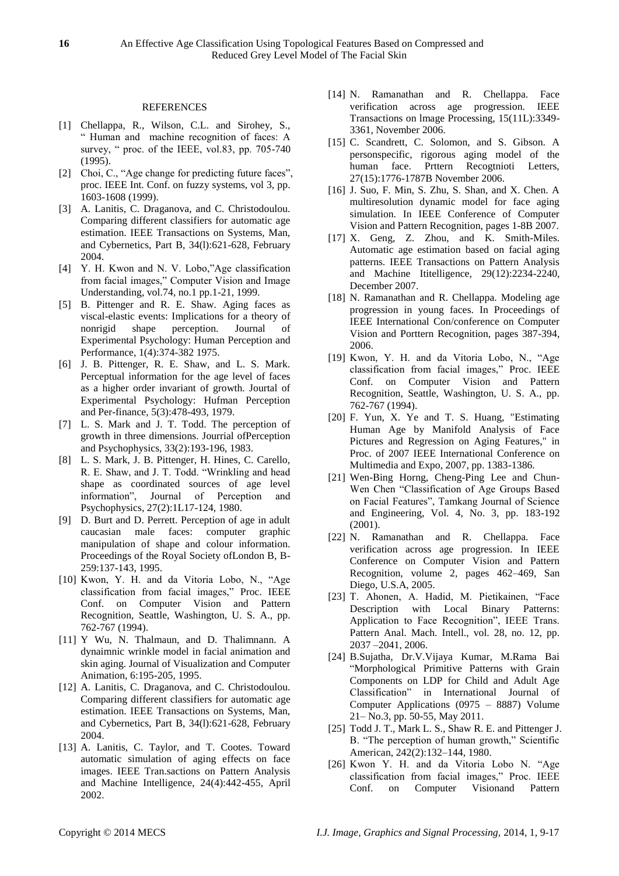## REFERENCES

- [1] Chellappa, R., Wilson, C.L. and Sirohey, S., ― Human and machine recognition of faces: A survey, " proc. of the IEEE, vol.83, pp. 705-740  $(1995)$ .
- [2] Choi, C., "Age change for predicting future faces", proc. IEEE Int. Conf. on fuzzy systems, vol 3, pp. 1603-1608 (1999).
- [3] A. Lanitis, C. Draganova, and C. Christodoulou. Comparing different classifiers for automatic age estimation. IEEE Transactions on Systems, Man, and Cybernetics, Part B, 34(l):621-628, February 2004.
- [4] Y. H. Kwon and N. V. Lobo,"Age classification from facial images," Computer Vision and Image Understanding, vol.74, no.1 pp.1-21, 1999.
- [5] B. Pittenger and R. E. Shaw. Aging faces as viscal-elastic events: Implications for a theory of nonrigid shape perception. Journal of Experimental Psychology: Human Perception and Performance, 1(4):374-382 1975.
- [6] J. B. Pittenger, R. E. Shaw, and L. S. Mark. Perceptual information for the age level of faces as a higher order invariant of growth. Jourtal of Experimental Psychology: Hufman Perception and Per-finance, 5(3):478-493, 1979.
- [7] L. S. Mark and J. T. Todd. The perception of growth in three dimensions. Jourrial ofPerception and Psychophysics, 33(2):193-196, 1983.
- [8] L. S. Mark, J. B. Pittenger, H. Hines, C. Carello, R. E. Shaw, and J. T. Todd. "Wrinkling and head shape as coordinated sources of age level information", Journal of Perception and Psychophysics, 27(2):1L17-124, 1980.
- [9] D. Burt and D. Perrett. Perception of age in adult caucasian male faces: computer graphic manipulation of shape and colour information. Proceedings of the Royal Society ofLondon B, B-259:137-143, 1995.
- [10] Kwon, Y. H. and da Vitoria Lobo, N., "Age classification from facial images," Proc. IEEE Conf. on Computer Vision and Pattern Recognition, Seattle, Washington, U. S. A., pp. 762-767 (1994).
- [11] Y Wu, N. Thalmaun, and D. Thalimnann. A dynaimnic wrinkle model in facial animation and skin aging. Journal of Visualization and Computer Animation, 6:195-205, 1995.
- [12] A. Lanitis, C. Draganova, and C. Christodoulou. Comparing different classifiers for automatic age estimation. IEEE Transactions on Systems, Man, and Cybernetics, Part B, 34(l):621-628, February 2004.
- [13] A. Lanitis, C. Taylor, and T. Cootes. Toward automatic simulation of aging effects on face images. IEEE Tran.sactions on Pattern Analysis and Machine Intelligence, 24(4):442-455, April 2002.
- [14] N. Ramanathan and R. Chellappa. Face verification across age progression. IEEE Transactions on lmage Processing, 15(11L):3349- 3361, November 2006.
- [15] C. Scandrett, C. Solomon, and S. Gibson. A personspecific, rigorous aging model of the human face. Prttern Recogtnioti Letters, 27(15):1776-1787B November 2006.
- [16] J. Suo, F. Min, S. Zhu, S. Shan, and X. Chen. A multiresolution dynamic model for face aging simulation. In IEEE Conference of Computer Vision and Pattern Recognition, pages 1-8B 2007.
- [17] X. Geng, Z. Zhou, and K. Smith-Miles. Automatic age estimation based on facial aging patterns. IEEE Transactions on Pattern Analysis and Machine Ititelligence, 29(12):2234-2240, December 2007.
- [18] N. Ramanathan and R. Chellappa. Modeling age progression in young faces. In Proceedings of IEEE International Con/conference on Computer Vision and Porttern Recognition, pages 387-394, 2006.
- [19] Kwon, Y. H. and da Vitoria Lobo, N., "Age classification from facial images," Proc. IEEE Conf. on Computer Vision and Pattern Recognition, Seattle, Washington, U. S. A., pp. 762-767 (1994).
- [20] F. Yun, X. Ye and T. S. Huang, "Estimating Human Age by Manifold Analysis of Face Pictures and Regression on Aging Features," in Proc. of 2007 IEEE International Conference on Multimedia and Expo, 2007, pp. 1383-1386.
- [21] Wen-Bing Horng, Cheng-Ping Lee and Chun-Wen Chen "Classification of Age Groups Based on Facial Features", Tamkang Journal of Science and Engineering, Vol. 4, No. 3, pp. 183-192 (2001).
- [22] N. Ramanathan and R. Chellappa. Face verification across age progression. In IEEE Conference on Computer Vision and Pattern Recognition, volume 2, pages 462–469, San Diego, U.S.A, 2005.
- [23] T. Ahonen, A. Hadid, M. Pietikainen, "Face Description with Local Binary Patterns: Application to Face Recognition", IEEE Trans. Pattern Anal. Mach. Intell., vol. 28, no. 12, pp. 2037 –2041, 2006.
- [24] B.Sujatha, Dr.V.Vijaya Kumar, M.Rama Bai ―Morphological Primitive Patterns with Grain Components on LDP for Child and Adult Age Classification" in International Journal of Computer Applications (0975 – 8887) Volume 21– No.3, pp. 50-55, May 2011.
- [25] Todd J. T., Mark L. S., Shaw R. E. and Pittenger J. B. "The perception of human growth," Scientific American, 242(2):132–144, 1980.
- [26] Kwon Y. H. and da Vitoria Lobo N. "Age classification from facial images," Proc. IEEE Conf. on Computer Visionand Pattern